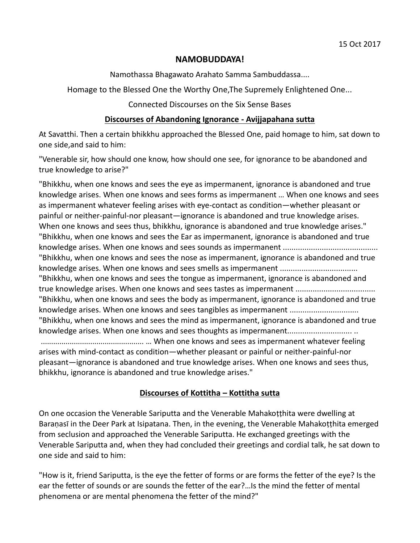## **NAMOBUDDAYA!**

Namothassa Bhagawato Arahato Samma Sambuddassa....

Homage to the Blessed One the Worthy One,The Supremely Enlightened One...

Connected Discourses on the Six Sense Bases

## **Discourses of Abandoning Ignorance - Avijjapahana sutta**

At Savatthi. Then a certain bhikkhu approached the Blessed One, paid homage to him, sat down to one side,and said to him:

"Venerable sir, how should one know, how should one see, for ignorance to be abandoned and true knowledge to arise?"

"Bhikkhu, when one knows and sees the eye as impermanent, ignorance is abandoned and true knowledge arises. When one knows and sees forms as impermanent … When one knows and sees as impermanent whatever feeling arises with eye-contact as condition—whether pleasant or painful or neither-painful-nor pleasant—ignorance is abandoned and true knowledge arises. When one knows and sees thus, bhikkhu, ignorance is abandoned and true knowledge arises." "Bhikkhu, when one knows and sees the Ear as impermanent, ignorance is abandoned and true knowledge arises. When one knows and sees sounds as impermanent ............................................ "Bhikkhu, when one knows and sees the nose as impermanent, ignorance is abandoned and true knowledge arises. When one knows and sees smells as impermanent .................................... "Bhikkhu, when one knows and sees the tongue as impermanent, ignorance is abandoned and true knowledge arises. When one knows and sees tastes as impermanent ..................................... "Bhikkhu, when one knows and sees the body as impermanent, ignorance is abandoned and true knowledge arises. When one knows and sees tangibles as impermanent ................................ "Bhikkhu, when one knows and sees the mind as impermanent, ignorance is abandoned and true knowledge arises. When one knows and sees thoughts as impermanent.............................. .. .................................................. … When one knows and sees as impermanent whatever feeling arises with mind-contact as condition—whether pleasant or painful or neither-painful-nor pleasant—ignorance is abandoned and true knowledge arises. When one knows and sees thus, bhikkhu, ignorance is abandoned and true knowledge arises."

## **Discourses of Kottitha – Kottitha sutta**

On one occasion the Venerable Sariputta and the Venerable Mahakoṭṭhita were dwelling at Baraṇası̄in the Deer Park at Isipatana. Then, in the evening, the Venerable Mahakoṭṭhita emerged from seclusion and approached the Venerable Sariputta. He exchanged greetings with the Venerable Sariputta and, when they had concluded their greetings and cordial talk, he sat down to one side and said to him:

"How is it, friend Sariputta, is the eye the fetter of forms or are forms the fetter of the eye? Is the ear the fetter of sounds or are sounds the fetter of the ear?…Is the mind the fetter of mental phenomena or are mental phenomena the fetter of the mind?"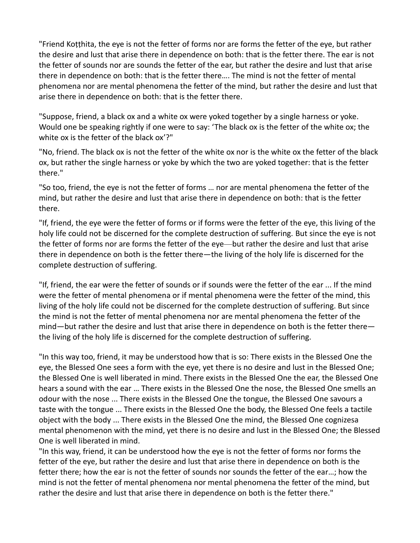"Friend Koṭṭhita, the eye is not the fetter of forms nor are forms the fetter of the eye, but rather the desire and lust that arise there in dependence on both: that is the fetter there. The ear is not the fetter of sounds nor are sounds the fetter of the ear, but rather the desire and lust that arise there in dependence on both: that is the fetter there…. The mind is not the fetter of mental phenomena nor are mental phenomena the fetter of the mind, but rather the desire and lust that arise there in dependence on both: that is the fetter there.

"Suppose, friend, a black ox and a white ox were yoked together by a single harness or yoke. Would one be speaking rightly if one were to say: 'The black ox is the fetter of the white ox; the white ox is the fetter of the black ox'?"

"No, friend. The black ox is not the fetter of the white ox nor is the white ox the fetter of the black ox, but rather the single harness or yoke by which the two are yoked together: that is the fetter there."

"So too, friend, the eye is not the fetter of forms … nor are mental phenomena the fetter of the mind, but rather the desire and lust that arise there in dependence on both: that is the fetter there.

"If, friend, the eye were the fetter of forms or if forms were the fetter of the eye, this living of the holy life could not be discerned for the complete destruction of suffering. But since the eye is not the fetter of forms nor are forms the fetter of the eye—but rather the desire and lust that arise there in dependence on both is the fetter there—the living of the holy life is discerned for the complete destruction of suffering.

"If, friend, the ear were the fetter of sounds or if sounds were the fetter of the ear ... If the mind were the fetter of mental phenomena or if mental phenomena were the fetter of the mind, this living of the holy life could not be discerned for the complete destruction of suffering. But since the mind is not the fetter of mental phenomena nor are mental phenomena the fetter of the mind—but rather the desire and lust that arise there in dependence on both is the fetter there the living of the holy life is discerned for the complete destruction of suffering.

"In this way too, friend, it may be understood how that is so: There exists in the Blessed One the eye, the Blessed One sees a form with the eye, yet there is no desire and lust in the Blessed One; the Blessed One is well liberated in mind. There exists in the Blessed One the ear, the Blessed One hears a sound with the ear … There exists in the Blessed One the nose, the Blessed One smells an odour with the nose ... There exists in the Blessed One the tongue, the Blessed One savours a taste with the tongue ... There exists in the Blessed One the body, the Blessed One feels a tactile object with the body ... There exists in the Blessed One the mind, the Blessed One cognizesa mental phenomenon with the mind, yet there is no desire and lust in the Blessed One; the Blessed One is well liberated in mind.

"In this way, friend, it can be understood how the eye is not the fetter of forms nor forms the fetter of the eye, but rather the desire and lust that arise there in dependence on both is the fetter there; how the ear is not the fetter of sounds nor sounds the fetter of the ear…; how the mind is not the fetter of mental phenomena nor mental phenomena the fetter of the mind, but rather the desire and lust that arise there in dependence on both is the fetter there."